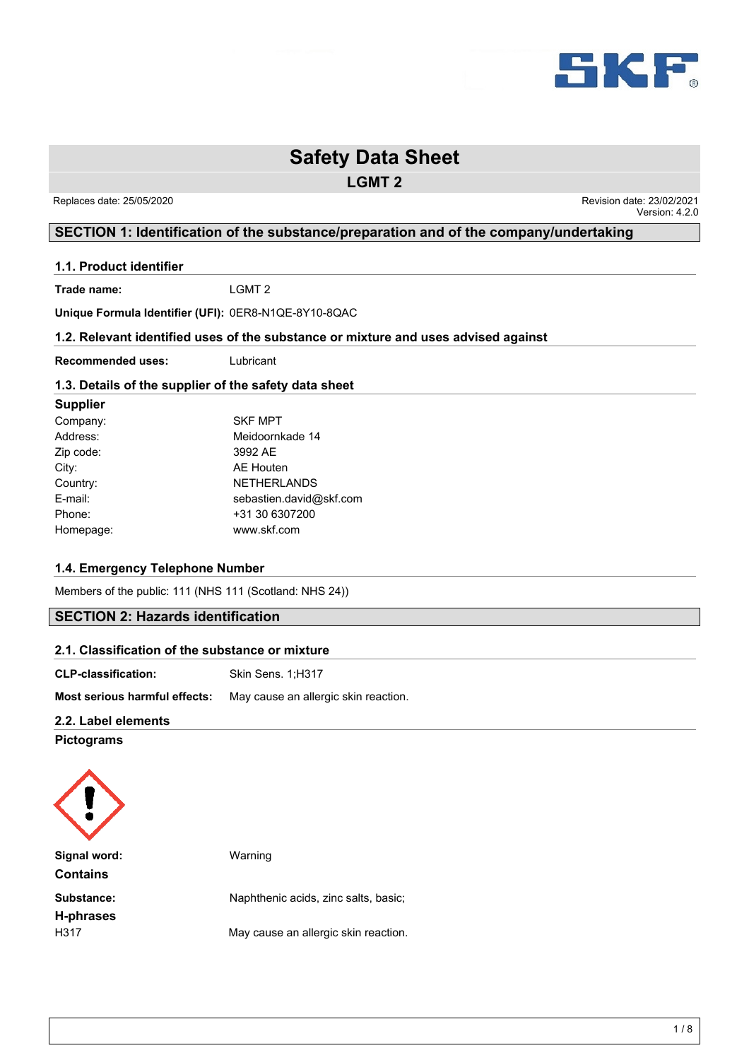

**LGMT 2**

 Replaces date: 25/05/2020 Revision date: 23/02/2021 Version: 4.2.0

# **SECTION 1: Identification of the substance/preparation and of the company/undertaking**

#### **1.1. Product identifier**

**Trade name:** LGMT 2

**Unique Formula Identifier (UFI):** 0ER8-N1QE-8Y10-8QAC

#### **1.2. Relevant identified uses of the substance or mixture and uses advised against**

**Recommended uses:** Lubricant

#### **1.3. Details of the supplier of the safety data sheet**

#### **Supplier**

| Company:  | <b>SKF MPT</b>          |
|-----------|-------------------------|
| Address:  | Meidoornkade 14         |
| Zip code: | 3992 AE                 |
| City:     | AE Houten               |
| Country:  | <b>NETHERLANDS</b>      |
| E-mail:   | sebastien.david@skf.com |
| Phone:    | +31 30 6307200          |
| Homepage: | www.skf.com             |
|           |                         |

#### **1.4. Emergency Telephone Number**

Members of the public: 111 (NHS 111 (Scotland: NHS 24))

# **SECTION 2: Hazards identification**

| 2.1. Classification of the substance or mixture |                                      |  |  |
|-------------------------------------------------|--------------------------------------|--|--|
| <b>CLP-classification:</b>                      | Skin Sens. 1:H317                    |  |  |
| Most serious harmful effects:                   | May cause an allergic skin reaction. |  |  |
| 22 Lahol olomonte                               |                                      |  |  |

#### **2.2. Label elements**

**Pictograms**

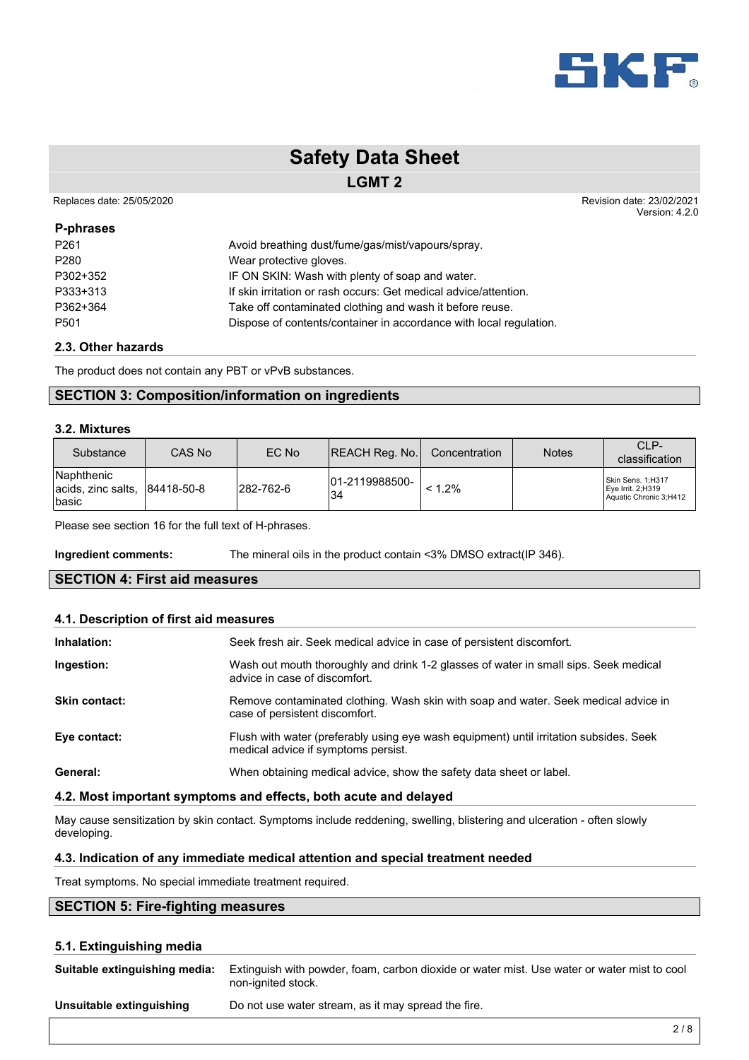

### **LGMT 2**

Replaces date: 25/05/2020 **Replaces** date: 23/02/2021

**P-phrases**

Version: 4.2.0

| P <sub>261</sub> | Avoid breathing dust/fume/gas/mist/vapours/spray.                  |
|------------------|--------------------------------------------------------------------|
| P <sub>280</sub> | Wear protective gloves.                                            |
| P302+352         | IF ON SKIN: Wash with plenty of soap and water.                    |
| P333+313         | If skin irritation or rash occurs: Get medical advice/attention.   |
| P362+364         | Take off contaminated clothing and wash it before reuse.           |
| P <sub>501</sub> | Dispose of contents/container in accordance with local regulation. |
|                  |                                                                    |

#### **2.3. Other hazards**

The product does not contain any PBT or vPvB substances.

# **SECTION 3: Composition/information on ingredients**

#### **3.2. Mixtures**

| Substance                                                                | CAS No | EC No     | <b>REACH Reg. No.</b> | Concentration | <b>Notes</b> | CLP-<br>classification                                           |
|--------------------------------------------------------------------------|--------|-----------|-----------------------|---------------|--------------|------------------------------------------------------------------|
| <b>Naphthenic</b><br>$ acids, zinc salts,  84418-50-8 $<br><b>Ibasic</b> |        | 282-762-6 | 01-2119988500-<br>'34 | $< 1.2\%$     |              | Skin Sens. 1;H317<br>Eye Irrit. 2;H319<br>Aquatic Chronic 3;H412 |

Please see section 16 for the full text of H-phrases.

**Ingredient comments:** The mineral oils in the product contain <3% DMSO extract(IP 346).

### **SECTION 4: First aid measures**

#### **4.1. Description of first aid measures**

| Inhalation:          | Seek fresh air. Seek medical advice in case of persistent discomfort.                                                         |
|----------------------|-------------------------------------------------------------------------------------------------------------------------------|
| Ingestion:           | Wash out mouth thoroughly and drink 1-2 glasses of water in small sips. Seek medical<br>advice in case of discomfort.         |
| <b>Skin contact:</b> | Remove contaminated clothing. Wash skin with soap and water. Seek medical advice in<br>case of persistent discomfort.         |
| Eye contact:         | Flush with water (preferably using eye wash equipment) until irritation subsides. Seek<br>medical advice if symptoms persist. |
| General:             | When obtaining medical advice, show the safety data sheet or label.                                                           |

#### **4.2. Most important symptoms and effects, both acute and delayed**

May cause sensitization by skin contact. Symptoms include reddening, swelling, blistering and ulceration - often slowly developing.

#### **4.3. Indication of any immediate medical attention and special treatment needed**

Treat symptoms. No special immediate treatment required.

# **SECTION 5: Fire-fighting measures**

#### **5.1. Extinguishing media**

| Suitable extinguishing media: | Extinguish with powder, foam, carbon dioxide or water mist. Use water or water mist to cool<br>non-ignited stock. |
|-------------------------------|-------------------------------------------------------------------------------------------------------------------|
| Unsuitable extinguishing      | Do not use water stream, as it may spread the fire.                                                               |
|                               |                                                                                                                   |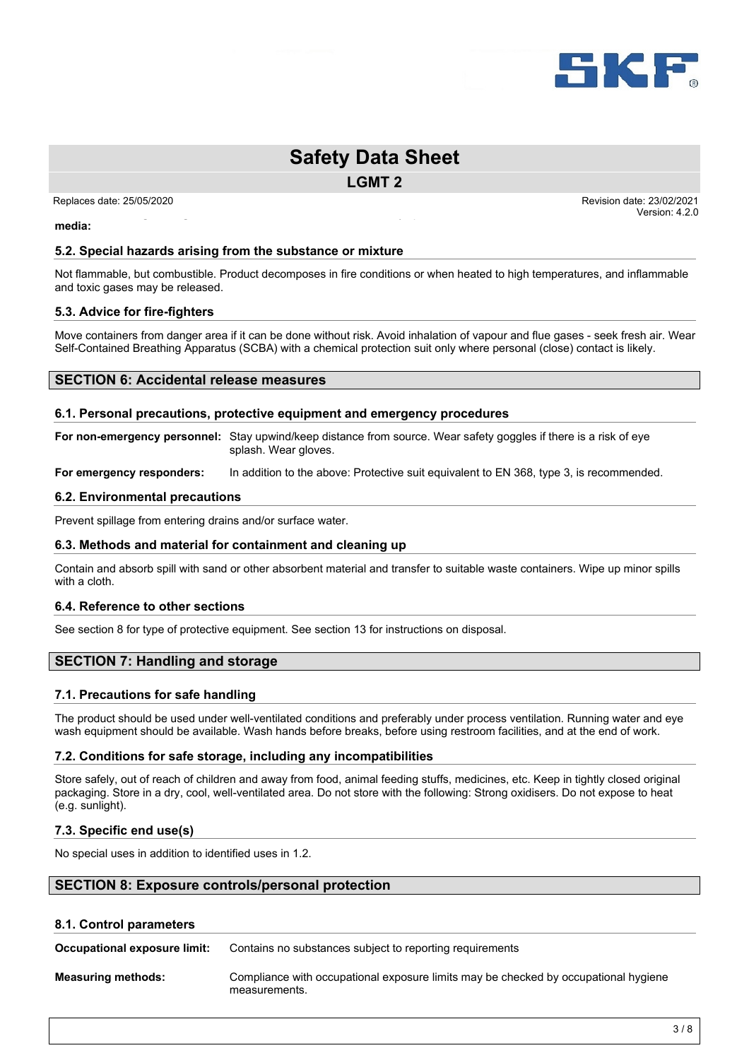

**LGMT 2**

Do not use water stream, as it may spread the fire.

Replaces date: 25/05/2020 **Replaces** date: 23/02/2021 Version: 4.2.0

**Unsuitable extinguishing media:**

#### **5.2. Special hazards arising from the substance or mixture**

Not flammable, but combustible. Product decomposes in fire conditions or when heated to high temperatures, and inflammable and toxic gases may be released.

#### **5.3. Advice for fire-fighters**

Move containers from danger area if it can be done without risk. Avoid inhalation of vapour and flue gases - seek fresh air. Wear Self-Contained Breathing Apparatus (SCBA) with a chemical protection suit only where personal (close) contact is likely.

#### **SECTION 6: Accidental release measures**

#### **6.1. Personal precautions, protective equipment and emergency procedures**

**For non-emergency personnel:** Stay upwind/keep distance from source. Wear safety goggles if there is a risk of eye splash. Wear gloves.

**For emergency responders:** In addition to the above: Protective suit equivalent to EN 368, type 3, is recommended.

#### **6.2. Environmental precautions**

Prevent spillage from entering drains and/or surface water.

#### **6.3. Methods and material for containment and cleaning up**

Contain and absorb spill with sand or other absorbent material and transfer to suitable waste containers. Wipe up minor spills with a cloth.

#### **6.4. Reference to other sections**

See section 8 for type of protective equipment. See section 13 for instructions on disposal.

#### **SECTION 7: Handling and storage**

#### **7.1. Precautions for safe handling**

The product should be used under well-ventilated conditions and preferably under process ventilation. Running water and eye wash equipment should be available. Wash hands before breaks, before using restroom facilities, and at the end of work.

#### **7.2. Conditions for safe storage, including any incompatibilities**

Store safely, out of reach of children and away from food, animal feeding stuffs, medicines, etc. Keep in tightly closed original packaging. Store in a dry, cool, well-ventilated area. Do not store with the following: Strong oxidisers. Do not expose to heat (e.g. sunlight).

#### **7.3. Specific end use(s)**

No special uses in addition to identified uses in 1.2.

#### **SECTION 8: Exposure controls/personal protection**

#### **8.1. Control parameters**

**Occupational exposure limit:** Contains no substances subject to reporting requirements

**Measuring methods:** Compliance with occupational exposure limits may be checked by occupational hygiene measurements.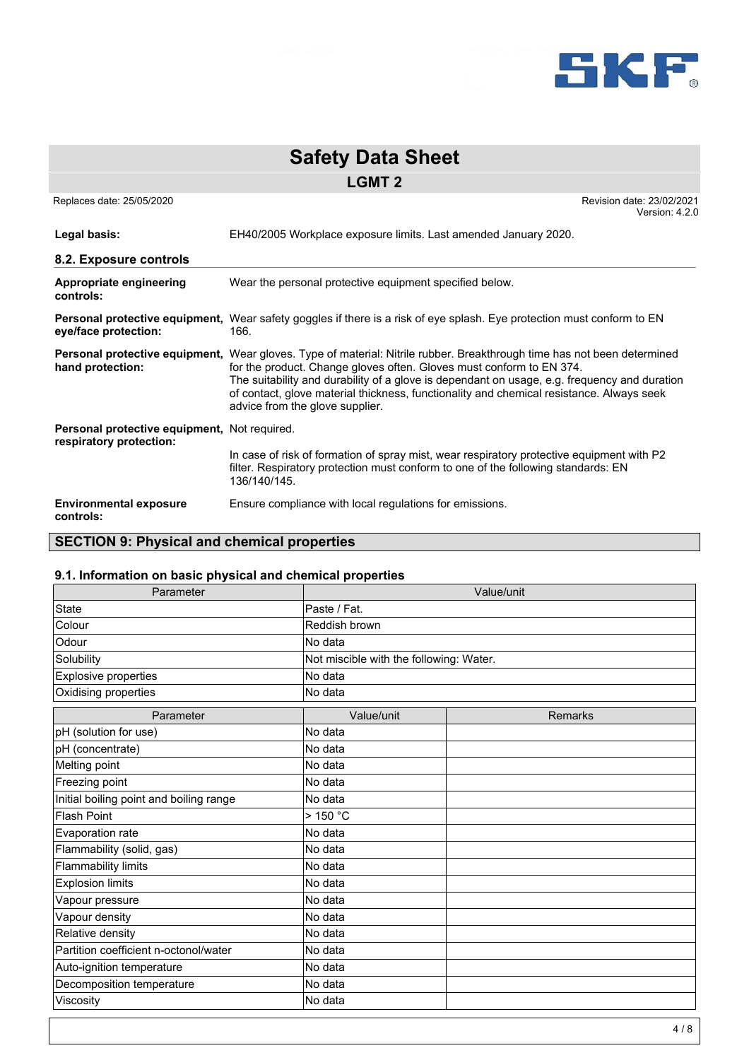

|                                              | <b>Safety Data Sheet</b>                                                                                                                                                                                                                                                                                                                                                                                                       |
|----------------------------------------------|--------------------------------------------------------------------------------------------------------------------------------------------------------------------------------------------------------------------------------------------------------------------------------------------------------------------------------------------------------------------------------------------------------------------------------|
|                                              | <b>LGMT 2</b>                                                                                                                                                                                                                                                                                                                                                                                                                  |
| Replaces date: 25/05/2020                    | Revision date: 23/02/2021<br>Version: 4.2.0                                                                                                                                                                                                                                                                                                                                                                                    |
| Legal basis:                                 | EH40/2005 Workplace exposure limits. Last amended January 2020.                                                                                                                                                                                                                                                                                                                                                                |
| 8.2. Exposure controls                       |                                                                                                                                                                                                                                                                                                                                                                                                                                |
| Appropriate engineering<br>controls:         | Wear the personal protective equipment specified below.                                                                                                                                                                                                                                                                                                                                                                        |
| eye/face protection:                         | Personal protective equipment, Wear safety goggles if there is a risk of eye splash. Eye protection must conform to EN<br>166.                                                                                                                                                                                                                                                                                                 |
| hand protection:                             | Personal protective equipment, Wear gloves. Type of material: Nitrile rubber. Breakthrough time has not been determined<br>for the product. Change gloves often. Gloves must conform to EN 374.<br>The suitability and durability of a glove is dependant on usage, e.g. frequency and duration<br>of contact, glove material thickness, functionality and chemical resistance. Always seek<br>advice from the glove supplier. |
| Personal protective equipment, Not required. |                                                                                                                                                                                                                                                                                                                                                                                                                                |
| respiratory protection:                      | In case of risk of formation of spray mist, wear respiratory protective equipment with P2<br>filter. Respiratory protection must conform to one of the following standards: EN<br>136/140/145.                                                                                                                                                                                                                                 |
| <b>Environmental exposure</b><br>controls:   | Ensure compliance with local regulations for emissions.                                                                                                                                                                                                                                                                                                                                                                        |

# **SECTION 9: Physical and chemical properties**

# **9.1. Information on basic physical and chemical properties**

| Parameter                               | Value/unit                              |         |  |  |
|-----------------------------------------|-----------------------------------------|---------|--|--|
| <b>State</b>                            | Paste / Fat.                            |         |  |  |
| Colour                                  | Reddish brown                           |         |  |  |
| Odour                                   | No data                                 |         |  |  |
| Solubility                              | Not miscible with the following: Water. |         |  |  |
| Explosive properties                    | No data                                 |         |  |  |
| Oxidising properties                    | No data                                 |         |  |  |
| Parameter                               | Value/unit                              | Remarks |  |  |
| pH (solution for use)                   | No data                                 |         |  |  |
| pH (concentrate)                        | No data                                 |         |  |  |
| Melting point                           | No data                                 |         |  |  |
| Freezing point                          | No data                                 |         |  |  |
| Initial boiling point and boiling range | No data                                 |         |  |  |
| <b>Flash Point</b>                      | $>$ 150 °C                              |         |  |  |
| Evaporation rate                        | No data                                 |         |  |  |
| Flammability (solid, gas)               | No data                                 |         |  |  |
| <b>Flammability limits</b>              | No data                                 |         |  |  |
| <b>Explosion limits</b>                 | No data                                 |         |  |  |
| Vapour pressure                         | No data                                 |         |  |  |
| Vapour density                          | No data                                 |         |  |  |
| Relative density                        | No data                                 |         |  |  |
| Partition coefficient n-octonol/water   | No data                                 |         |  |  |
| Auto-ignition temperature               | No data                                 |         |  |  |
| Decomposition temperature               | No data                                 |         |  |  |
| Viscosity                               | No data                                 |         |  |  |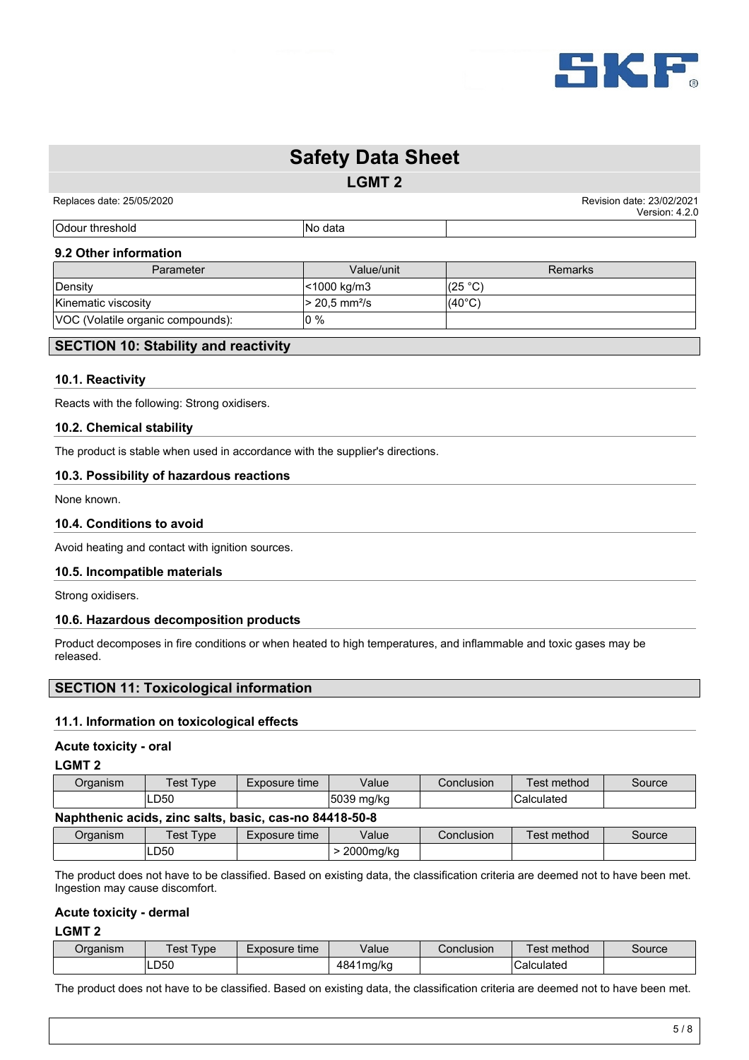

**LGMT 2**

|Odour threshold No data

Replaces date: 25/05/2020 **Replaces** date: 23/02/2021 Version: 4.2.0

#### **9.2 Other information**

| Parameter                         | Value/unit   | Remarks         |
|-----------------------------------|--------------|-----------------|
| Density                           | <1000 kg/m3  | (25 °C)         |
| Kinematic viscosity               | > 20,5 mm²/s | $(40^{\circ}C)$ |
| VOC (Volatile organic compounds): | lo %         |                 |

#### **SECTION 10: Stability and reactivity**

#### **10.1. Reactivity**

Reacts with the following: Strong oxidisers.

#### **10.2. Chemical stability**

The product is stable when used in accordance with the supplier's directions.

#### **10.3. Possibility of hazardous reactions**

None known.

#### **10.4. Conditions to avoid**

Avoid heating and contact with ignition sources.

#### **10.5. Incompatible materials**

Strong oxidisers.

#### **10.6. Hazardous decomposition products**

Product decomposes in fire conditions or when heated to high temperatures, and inflammable and toxic gases may be released.

### **SECTION 11: Toxicological information**

#### **11.1. Information on toxicological effects**

#### **Acute toxicity - oral**

#### **LGMT 2**

| Organism | $T$ $V$ $p$ $q$<br>⊺est                     | Exposure time                   | Value          | Conclusion | Test method | Source |
|----------|---------------------------------------------|---------------------------------|----------------|------------|-------------|--------|
|          | LD50                                        |                                 | 5039<br>⊧mg/kg |            | Calculated  |        |
| ____     | ____<br>the contract of the contract of the | the contract of the contract of | .              |            |             |        |

### **Naphthenic acids, zinc salts, basic, cas-no 84418-50-8**

| Organism | $i$ est $\tau$<br>ype | Exposure<br>time | Value     | Conclusion | method<br>'est | Source |
|----------|-----------------------|------------------|-----------|------------|----------------|--------|
|          | LD50                  |                  | 2000mg/kg |            |                |        |

The product does not have to be classified. Based on existing data, the classification criteria are deemed not to have been met. Ingestion may cause discomfort.

#### **Acute toxicity - dermal**

#### **LGMT 2**

| Organism | ype<br>est | time<br>Exposure | √alue               | Conclusion | method<br>'est | Source |
|----------|------------|------------------|---------------------|------------|----------------|--------|
|          | LD50       |                  | ∽<br>1mg/ka<br>-484 |            | Calculated     |        |

The product does not have to be classified. Based on existing data, the classification criteria are deemed not to have been met.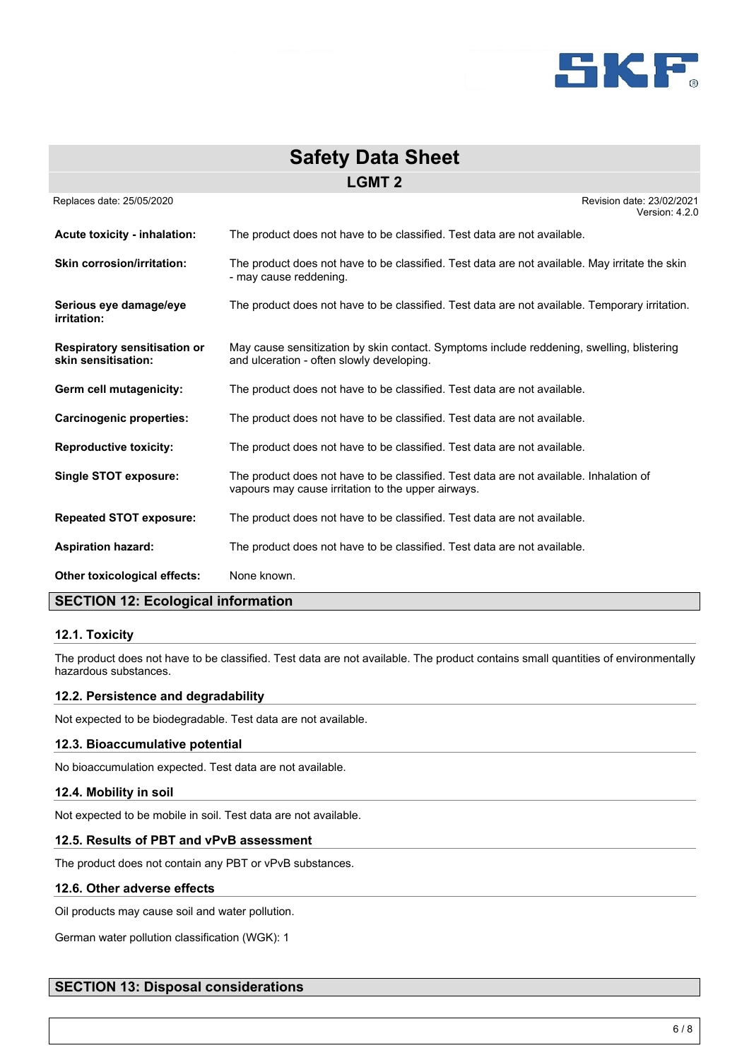

| <b>Safety Data Sheet</b>                                   |                                                                                                                                              |  |  |
|------------------------------------------------------------|----------------------------------------------------------------------------------------------------------------------------------------------|--|--|
| <b>LGMT 2</b>                                              |                                                                                                                                              |  |  |
| Replaces date: 25/05/2020                                  | Revision date: 23/02/2021<br>Version: 4.2.0                                                                                                  |  |  |
| Acute toxicity - inhalation:                               | The product does not have to be classified. Test data are not available.                                                                     |  |  |
| <b>Skin corrosion/irritation:</b>                          | The product does not have to be classified. Test data are not available. May irritate the skin<br>- may cause reddening.                     |  |  |
| Serious eye damage/eye<br>irritation:                      | The product does not have to be classified. Test data are not available. Temporary irritation.                                               |  |  |
| <b>Respiratory sensitisation or</b><br>skin sensitisation: | May cause sensitization by skin contact. Symptoms include reddening, swelling, blistering<br>and ulceration - often slowly developing.       |  |  |
| Germ cell mutagenicity:                                    | The product does not have to be classified. Test data are not available.                                                                     |  |  |
| <b>Carcinogenic properties:</b>                            | The product does not have to be classified. Test data are not available.                                                                     |  |  |
| <b>Reproductive toxicity:</b>                              | The product does not have to be classified. Test data are not available.                                                                     |  |  |
| Single STOT exposure:                                      | The product does not have to be classified. Test data are not available. Inhalation of<br>vapours may cause irritation to the upper airways. |  |  |
| <b>Repeated STOT exposure:</b>                             | The product does not have to be classified. Test data are not available.                                                                     |  |  |
| <b>Aspiration hazard:</b>                                  | The product does not have to be classified. Test data are not available.                                                                     |  |  |
| Other toxicological effects:                               | None known.                                                                                                                                  |  |  |

# **SECTION 12: Ecological information**

#### **12.1. Toxicity**

The product does not have to be classified. Test data are not available. The product contains small quantities of environmentally hazardous substances.

#### **12.2. Persistence and degradability**

Not expected to be biodegradable. Test data are not available.

#### **12.3. Bioaccumulative potential**

No bioaccumulation expected. Test data are not available.

#### **12.4. Mobility in soil**

Not expected to be mobile in soil. Test data are not available.

#### **12.5. Results of PBT and vPvB assessment**

The product does not contain any PBT or vPvB substances.

#### **12.6. Other adverse effects**

Oil products may cause soil and water pollution.

German water pollution classification (WGK): 1

# **SECTION 13: Disposal considerations**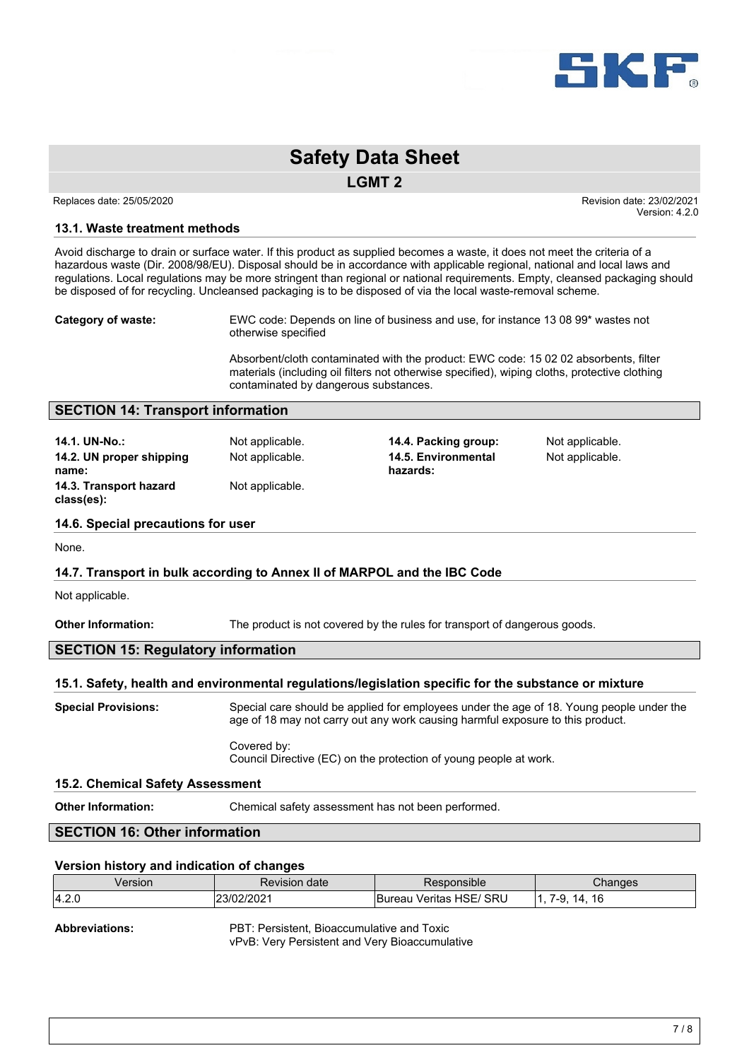

#### **LGMT 2**

Replaces date: 25/05/2020 **Replaces** date: 23/02/2021 Version: 4.2.0

#### **13.1. Waste treatment methods**

Avoid discharge to drain or surface water. If this product as supplied becomes a waste, it does not meet the criteria of a hazardous waste (Dir. 2008/98/EU). Disposal should be in accordance with applicable regional, national and local laws and regulations. Local regulations may be more stringent than regional or national requirements. Empty, cleansed packaging should be disposed of for recycling. Uncleansed packaging is to be disposed of via the local waste-removal scheme.

**Category of waste:** EWC code: Depends on line of business and use, for instance 13 08 99\* wastes not otherwise specified

> Absorbent/cloth contaminated with the product: EWC code: 15 02 02 absorbents, filter materials (including oil filters not otherwise specified), wiping cloths, protective clothing contaminated by dangerous substances.

#### **SECTION 14: Transport information**

| 14.1. UN-No.:                        | Not applicable. |
|--------------------------------------|-----------------|
| 14.2. UN proper shipping             | Not applicable. |
| name:                                |                 |
| 14.3. Transport hazard<br>class(es): | Not applicable. |

**14.4. Packing group:** Not applicable. Not applicable. **14.5. Environmental hazards:**

Not applicable.

#### **14.6. Special precautions for user**

None.

#### **14.7. Transport in bulk according to Annex II of MARPOL and the IBC Code**

Not applicable.

**Other Information:** The product is not covered by the rules for transport of dangerous goods.

### **SECTION 15: Regulatory information**

#### **15.1. Safety, health and environmental regulations/legislation specific for the substance or mixture**

**Special Provisions:** Special care should be applied for employees under the age of 18. Young people under the age of 18 may not carry out any work causing harmful exposure to this product. Covered by:

Council Directive (EC) on the protection of young people at work.

#### **15.2. Chemical Safety Assessment**

**Other Information:** Chemical safety assessment has not been performed.

# **SECTION 16: Other information**

#### **Version history and indication of changes**

| Version | Revision date | *ponsible*<br>Resor               | Chanɑes                    |
|---------|---------------|-----------------------------------|----------------------------|
| 4.2.0   | ∠3/02/2021    | `SRU<br>HSE/<br>√erıtas<br>Bureau | 16<br>д<br>. ⊥∪<br>т.<br>ີ |

**Abbreviations:** PBT: Persistent, Bioaccumulative and Toxic vPvB: Very Persistent and Very Bioaccumulative